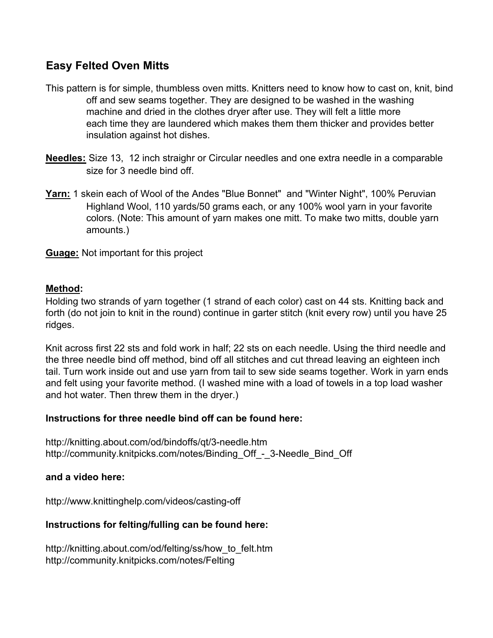# **Easy Felted Oven Mitts**

- This pattern is for simple, thumbless oven mitts. Knitters need to know how to cast on, knit, bind off and sew seams together. They are designed to be washed in the washing machine and dried in the clothes dryer after use. They will felt a little more each time they are laundered which makes them them thicker and provides better insulation against hot dishes.
- **Needles:** Size 13, 12 inch straighr or Circular needles and one extra needle in a comparable size for 3 needle bind off.
- **Yarn:** 1 skein each of Wool of the Andes "Blue Bonnet" and "Winter Night", 100% Peruvian Highland Wool, 110 yards/50 grams each, or any 100% wool yarn in your favorite colors. (Note: This amount of yarn makes one mitt. To make two mitts, double yarn amounts.)

**Guage:** Not important for this project

### **Method:**

Holding two strands of yarn together (1 strand of each color) cast on 44 sts. Knitting back and forth (do not join to knit in the round) continue in garter stitch (knit every row) until you have 25 ridges.

Knit across first 22 sts and fold work in half; 22 sts on each needle. Using the third needle and the three needle bind off method, bind off all stitches and cut thread leaving an eighteen inch tail. Turn work inside out and use yarn from tail to sew side seams together. Work in yarn ends and felt using your favorite method. (I washed mine with a load of towels in a top load washer and hot water. Then threw them in the dryer.)

#### **Instructions for three needle bind off can be found here:**

http://knitting.about.com/od/bindoffs/qt/3-needle.htm http://community.knitpicks.com/notes/Binding\_Off\_-\_3-Needle\_Bind\_Off\_

#### **and a video here:**

http://www.knittinghelp.com/videos/casting-off

## **Instructions for felting/fulling can be found here:**

http://knitting.about.com/od/felting/ss/how\_to\_felt.htm http://community.knitpicks.com/notes/Felting